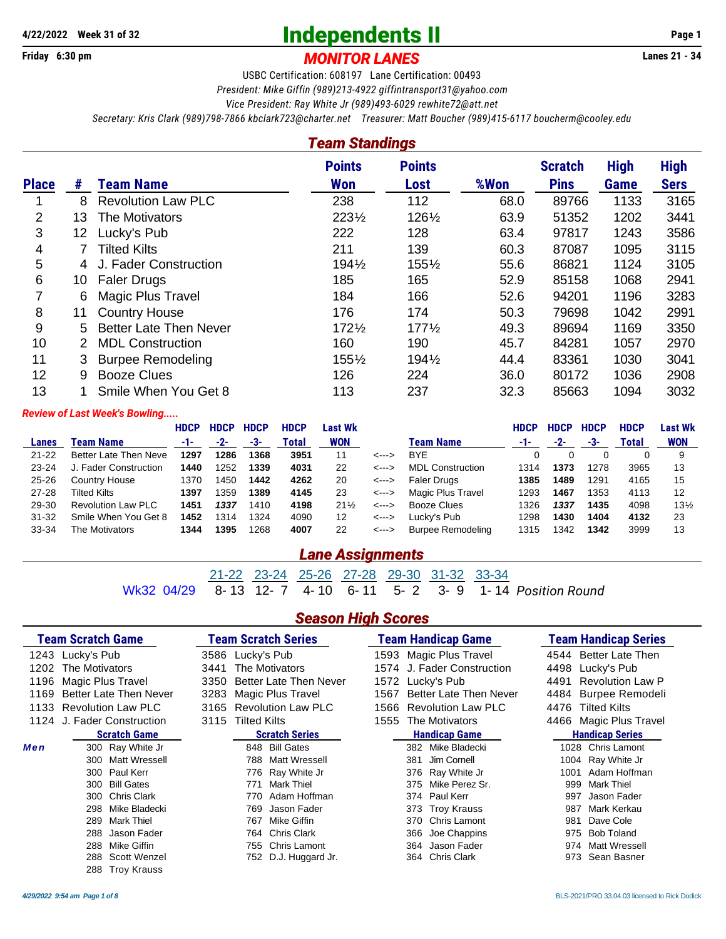## **Independents II 4/22/2022 Week 31 of 32 Page 1**

**Friday 6:30 pm** *MONITOR LANES* **Lanes 21 - 34**

USBC Certification: 608197 Lane Certification: 00493 *President: Mike Giffin (989)213-4922 [giffintransport31@yahoo.com](mailto:giffintransport31@yahoo.com) Vice President: Ray White Jr (989)493-6029 [rewhite72@att.net](mailto:rewhite72@att.net)*

*Secretary: Kris Clark (989)798-7866 [kbclark723@charter.net](mailto:kbclark723@charter.net) Treasurer: Matt Boucher (989)415-6117 [boucherm@cooley.edu](mailto:boucherm@cooley.edu)*

#### *Team Standings*

|                |    |                               | <b>Points</b>    | <b>Points</b>    |      | <b>Scratch</b> | <b>High</b> | <b>High</b> |
|----------------|----|-------------------------------|------------------|------------------|------|----------------|-------------|-------------|
| <b>Place</b>   | #  | <b>Team Name</b>              | <b>Won</b>       | Lost             | %Won | <b>Pins</b>    | <b>Game</b> | <b>Sers</b> |
|                | 8  | <b>Revolution Law PLC</b>     | 238              | 112              | 68.0 | 89766          | 1133        | 3165        |
| $\overline{2}$ | 13 | The Motivators                | 2231/2           | 1261/2           | 63.9 | 51352          | 1202        | 3441        |
| 3              | 12 | Lucky's Pub                   | 222              | 128              | 63.4 | 97817          | 1243        | 3586        |
| 4              |    | <b>Tilted Kilts</b>           | 211              | 139              | 60.3 | 87087          | 1095        | 3115        |
| 5              | 4  | J. Fader Construction         | 1941/2           | $155\%$          | 55.6 | 86821          | 1124        | 3105        |
| 6              | 10 | <b>Faler Drugs</b>            | 185              | 165              | 52.9 | 85158          | 1068        | 2941        |
| 7              | 6  | <b>Magic Plus Travel</b>      | 184              | 166              | 52.6 | 94201          | 1196        | 3283        |
| 8              | 11 | <b>Country House</b>          | 176              | 174              | 50.3 | 79698          | 1042        | 2991        |
| 9              | 5. | <b>Better Late Then Never</b> | $172\frac{1}{2}$ | $177\frac{1}{2}$ | 49.3 | 89694          | 1169        | 3350        |
| 10             |    | <b>MDL Construction</b>       | 160              | 190              | 45.7 | 84281          | 1057        | 2970        |
| 11             | 3  | <b>Burpee Remodeling</b>      | 1551/2           | 1941/2           | 44.4 | 83361          | 1030        | 3041        |
| 12             | 9  | <b>Booze Clues</b>            | 126              | 224              | 36.0 | 80172          | 1036        | 2908        |
| 13             |    | Smile When You Get 8          | 113              | 237              | 32.3 | 85663          | 1094        | 3032        |

#### *Review of Last Week's Bowling.....*

|              |                              | <b>HDCP</b> | <b>HDCP</b> | <b>HDCP</b> | <b>HDCP</b> | Last Wk    |                            |                          | <b>HDCP</b> | <b>HDCP</b> | <b>HDCP</b> | <b>HDCP</b> | Last Wk         |
|--------------|------------------------------|-------------|-------------|-------------|-------------|------------|----------------------------|--------------------------|-------------|-------------|-------------|-------------|-----------------|
| <b>Lanes</b> | Team Name                    | -1-         | $-2-$       | -3-         | Total       | <b>WON</b> |                            | Team Name                | -1-         | $-2-$       | -3-         | Total       | <b>WON</b>      |
| $21 - 22$    | <b>Better Late Then Neve</b> | 1297        | 1286        | 1368        | 3951        | 11         | <--->                      | <b>BYE</b>               |             |             |             |             | 9               |
| $23 - 24$    | J. Fader Construction        | 1440        | 1252        | 1339        | 4031        | 22         | <--->                      | <b>MDL Construction</b>  | 1314        | 1373        | 1278        | 3965        | 13              |
| $25 - 26$    | Country House                | 1370        | 1450        | 1442        | 4262        | 20         | $\leftarrow$ $\rightarrow$ | Faler Drugs              | 1385        | 1489        | 1291        | 4165        | 15              |
| $27 - 28$    | Tilted Kilts                 | 1397        | 359         | 1389        | 4145        | 23         | $\leftarrow$ $\rightarrow$ | Magic Plus Travel        | 1293        | 1467        | 1353        | 4113        | 12              |
| 29-30        | <b>Revolution Law PLC</b>    | 1451        | 1337        | 1410        | 4198        | $21\%$     | <--->                      | Booze Clues              | 1326        | 1337        | 1435        | 4098        | $13\frac{1}{2}$ |
| $31 - 32$    | Smile When You Get 8         | 1452        | 1314        | 1324        | 4090        | 12         | <--->                      | Lucky's Pub              | 1298        | 1430        | 1404        | 4132        | -23             |
| 33-34        | The Motivators               | 1344        | 1395        | 1268        | 4007        | 22         | <--->                      | <b>Burpee Remodeling</b> | 1315        | 1342        | 1342        | 3999        | 13              |

#### *Lane Assignments*

 $\frac{21-22}{8-13}$   $\frac{23-24}{12-7}$   $\frac{25-26}{4-10}$   $\frac{27-28}{6-11}$   $\frac{29-30}{5-2}$   $\frac{31-32}{3-9}$   $\frac{33-34}{1-14}$ Wk32 04/29 8- 13 12- 7 4- 10 6- 11 5- 2 3- 9 1- 14 *Position Round*

#### *Season High Scores*

|      | <b>Team Scratch Game</b>   | <b>Team Scratch Series</b>     | <b>Team Handicap Game</b>         | <b>Team Handicap Series</b>     |
|------|----------------------------|--------------------------------|-----------------------------------|---------------------------------|
|      | 1243 Lucky's Pub           | 3586 Lucky's Pub               | 1593 Magic Plus Travel            | 4544 Better Late Then           |
| 1202 | The Motivators             | The Motivators<br>3441         | 1574 J. Fader Construction        | 4498<br>Lucky's Pub             |
| 1196 | <b>Magic Plus Travel</b>   | Better Late Then Never<br>3350 | Lucky's Pub<br>1572               | <b>Revolution Law P</b><br>4491 |
| 1169 | Better Late Then Never     | Magic Plus Travel<br>3283      | Better Late Then Never<br>1567    | 4484 Burpee Remodeli            |
|      | 1133 Revolution Law PLC    | 3165 Revolution Law PLC        | <b>Revolution Law PLC</b><br>1566 | 4476<br><b>Tilted Kilts</b>     |
|      | 1124 J. Fader Construction | 3115 Tilted Kilts              | The Motivators<br>1555            | 4466 Magic Plus Travel          |
|      | <b>Scratch Game</b>        | <b>Scratch Series</b>          | <b>Handicap Game</b>              | <b>Handicap Series</b>          |
| Men  | 300 Ray White Jr           | 848 Bill Gates                 | 382 Mike Bladecki                 | 1028 Chris Lamont               |
|      | Matt Wressell<br>300       | <b>Matt Wressell</b><br>788    | Jim Cornell<br>381                | 1004 Ray White Jr               |
|      | 300 Paul Kerr              | 776 Ray White Jr               | 376 Ray White Jr                  | Adam Hoffman<br>1001            |
|      | <b>Bill Gates</b><br>300   | <b>Mark Thiel</b><br>771       | Mike Perez Sr.<br>375             | Mark Thiel<br>999               |
|      | <b>Chris Clark</b><br>300  | Adam Hoffman<br>770            | Paul Kerr<br>374                  | Jason Fader<br>997              |
|      | Mike Bladecki<br>298       | Jason Fader<br>769             | 373 Troy Krauss                   | Mark Kerkau<br>987              |
|      | <b>Mark Thiel</b><br>289   | Mike Giffin<br>767             | 370 Chris Lamont                  | Dave Cole<br>981                |
|      | Jason Fader<br>288         | 764 Chris Clark                | Joe Chappins<br>366               | <b>Bob Toland</b><br>975        |
|      | Mike Giffin<br>288         | 755 Chris Lamont               | Jason Fader<br>364                | Matt Wressell<br>974            |
|      | Scott Wenzel<br>288        | 752 D.J. Huggard Jr.           | 364 Chris Clark                   | Sean Basner<br>973              |
|      | 288 Troy Krauss            |                                |                                   |                                 |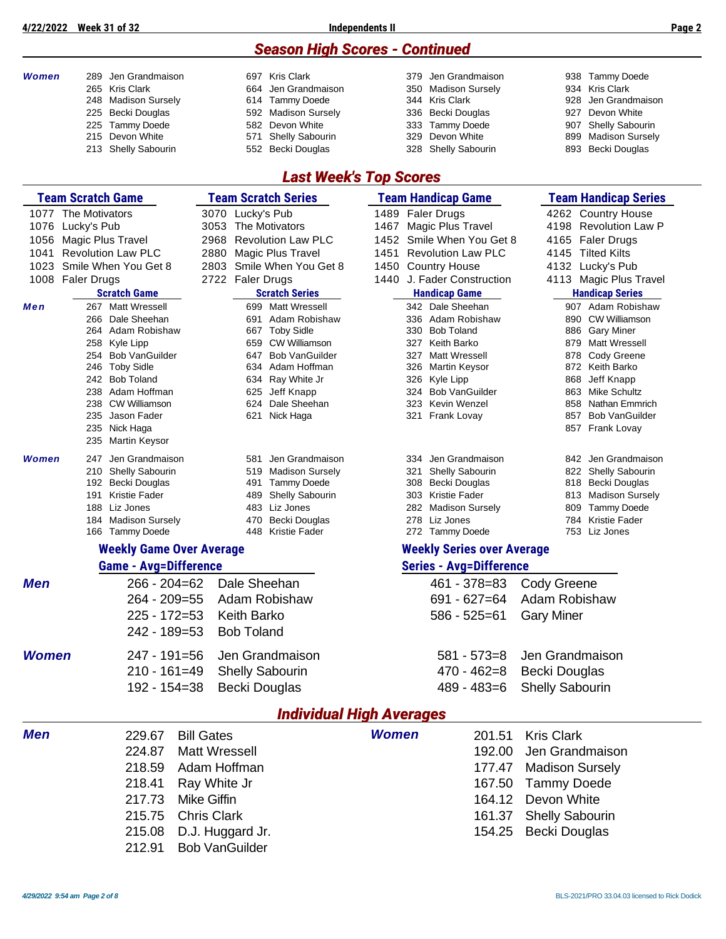#### *Season High Scores - Continued*

| <b>Women</b> | 289 Jen Grandmaison<br>265 Kris Clark<br>248 Madison Sursely<br>225 Becki Douglas<br>225 Tammy Doede<br>215 Devon White<br>213 Shelly Sabourin | 697 Kris Clark<br>Jen Grandmaison<br>664<br><b>Tammy Doede</b><br>614<br><b>Madison Sursely</b><br>592<br>Devon White<br>582<br>Shelly Sabourin<br>571<br>552 Becki Douglas | Jen Grandmaison<br>379.<br>350<br><b>Madison Sursely</b><br>344 Kris Clark<br>Becki Douglas<br>336<br><b>Tammy Doede</b><br>333<br>Devon White<br>329<br>328 Shelly Sabourin | 938 Tammy Doede<br>934 Kris Clark<br>Jen Grandmaison<br>928<br>927<br>Devon White<br>Shelly Sabourin<br>907<br><b>Madison Sursely</b><br>899<br>893 Becki Douglas |
|--------------|------------------------------------------------------------------------------------------------------------------------------------------------|-----------------------------------------------------------------------------------------------------------------------------------------------------------------------------|------------------------------------------------------------------------------------------------------------------------------------------------------------------------------|-------------------------------------------------------------------------------------------------------------------------------------------------------------------|
|              |                                                                                                                                                | <b>Last Week's Top Scores</b>                                                                                                                                               |                                                                                                                                                                              |                                                                                                                                                                   |
|              | <b>Team Scratch Game</b>                                                                                                                       | <b>Team Scratch Series</b>                                                                                                                                                  | <b>Team Handicap Game</b>                                                                                                                                                    | <b>Team Handicap Series</b>                                                                                                                                       |
|              | 1077 The Motivators                                                                                                                            | 3070 Lucky's Pub                                                                                                                                                            | 1489 Faler Drugs                                                                                                                                                             | 4262 Country House                                                                                                                                                |
| 1076         | Lucky's Pub                                                                                                                                    | 3053<br>The Motivators                                                                                                                                                      | <b>Magic Plus Travel</b><br>1467                                                                                                                                             | 4198<br><b>Revolution Law P</b>                                                                                                                                   |
| 1056         | Magic Plus Travel                                                                                                                              | 2968<br><b>Revolution Law PLC</b>                                                                                                                                           | Smile When You Get 8<br>1452                                                                                                                                                 | 4165<br><b>Faler Drugs</b>                                                                                                                                        |
| 1041         | <b>Revolution Law PLC</b>                                                                                                                      | 2880<br>Magic Plus Travel                                                                                                                                                   | 1451<br><b>Revolution Law PLC</b>                                                                                                                                            | 4145 Tilted Kilts                                                                                                                                                 |
| 1023         | Smile When You Get 8                                                                                                                           | Smile When You Get 8<br>2803                                                                                                                                                | <b>Country House</b><br>1450                                                                                                                                                 | Lucky's Pub<br>4132                                                                                                                                               |
|              | 1008 Faler Drugs                                                                                                                               | 2722 Faler Drugs                                                                                                                                                            | 1440 J. Fader Construction                                                                                                                                                   | 4113 Magic Plus Travel                                                                                                                                            |
| Men          | <b>Scratch Game</b><br>267 Matt Wressell                                                                                                       | <b>Scratch Series</b><br>699 Matt Wressell                                                                                                                                  | <b>Handicap Game</b><br>342 Dale Sheehan                                                                                                                                     | <b>Handicap Series</b><br>907 Adam Robishaw                                                                                                                       |
|              | 266 Dale Sheehan                                                                                                                               | Adam Robishaw<br>691                                                                                                                                                        | 336 Adam Robishaw                                                                                                                                                            | <b>CW Williamson</b><br>890                                                                                                                                       |
|              | 264 Adam Robishaw                                                                                                                              | <b>Toby Sidle</b><br>667                                                                                                                                                    | 330 Bob Toland                                                                                                                                                               | <b>Gary Miner</b><br>886                                                                                                                                          |
|              | 258 Kyle Lipp                                                                                                                                  | 659<br>CW Williamson                                                                                                                                                        | 327 Keith Barko                                                                                                                                                              | Matt Wressell<br>879.                                                                                                                                             |
|              | 254 Bob VanGuilder<br>246 Toby Sidle                                                                                                           | <b>Bob VanGuilder</b><br>647<br>634<br>Adam Hoffman                                                                                                                         | 327 Matt Wressell<br>326 Martin Keysor                                                                                                                                       | Cody Greene<br>878<br>872 Keith Barko                                                                                                                             |
|              | 242 Bob Toland                                                                                                                                 | Ray White Jr<br>634                                                                                                                                                         | 326 Kyle Lipp                                                                                                                                                                | Jeff Knapp<br>868                                                                                                                                                 |
|              | 238 Adam Hoffman                                                                                                                               | 625<br>Jeff Knapp                                                                                                                                                           | 324 Bob VanGuilder                                                                                                                                                           | <b>Mike Schultz</b><br>863                                                                                                                                        |
|              | 238 CW Williamson                                                                                                                              | Dale Sheehan<br>624                                                                                                                                                         | 323 Kevin Wenzel                                                                                                                                                             | Nathan Emmrich<br>858                                                                                                                                             |
|              | 235 Jason Fader                                                                                                                                | Nick Haga<br>621                                                                                                                                                            | 321<br>Frank Lovay                                                                                                                                                           | <b>Bob VanGuilder</b><br>857                                                                                                                                      |
|              | 235 Nick Haga<br>235<br>Martin Keysor                                                                                                          |                                                                                                                                                                             |                                                                                                                                                                              | 857 Frank Lovay                                                                                                                                                   |
| Women        | Jen Grandmaison<br>247                                                                                                                         | 581<br>Jen Grandmaison                                                                                                                                                      | 334 Jen Grandmaison                                                                                                                                                          | 842 Jen Grandmaison                                                                                                                                               |
|              | 210 Shelly Sabourin                                                                                                                            | <b>Madison Sursely</b><br>519                                                                                                                                               | Shelly Sabourin<br>321                                                                                                                                                       | 822 Shelly Sabourin                                                                                                                                               |
|              | 192 Becki Douglas                                                                                                                              | <b>Tammy Doede</b><br>491                                                                                                                                                   | 308 Becki Douglas                                                                                                                                                            | 818 Becki Douglas                                                                                                                                                 |
|              | <b>Kristie Fader</b><br>191<br>188 Liz Jones                                                                                                   | Shelly Sabourin<br>489<br>Liz Jones<br>483                                                                                                                                  | 303 Kristie Fader<br>282 Madison Sursely                                                                                                                                     | <b>Madison Sursely</b><br>813<br><b>Tammy Doede</b><br>809                                                                                                        |
|              | 184 Madison Sursely                                                                                                                            | Becki Douglas<br>470                                                                                                                                                        | 278 Liz Jones                                                                                                                                                                | <b>Kristie Fader</b><br>784                                                                                                                                       |
|              | 166 Tammy Doede                                                                                                                                | <b>Kristie Fader</b><br>448                                                                                                                                                 | 272 Tammy Doede                                                                                                                                                              | 753 Liz Jones                                                                                                                                                     |
|              | <b>Weekly Game Over Average</b>                                                                                                                |                                                                                                                                                                             | <b>Weekly Series over Average</b>                                                                                                                                            |                                                                                                                                                                   |
|              | <b>Game - Avg=Difference</b>                                                                                                                   |                                                                                                                                                                             | <b>Series - Avg=Difference</b>                                                                                                                                               |                                                                                                                                                                   |
| <b>Men</b>   | 266 - 204=62                                                                                                                                   | Dale Sheehan                                                                                                                                                                | 461 - 378=83                                                                                                                                                                 | <b>Cody Greene</b>                                                                                                                                                |
|              | 264 - 209=55                                                                                                                                   | Adam Robishaw                                                                                                                                                               | $691 - 627 = 64$                                                                                                                                                             | Adam Robishaw                                                                                                                                                     |
|              | $225 - 172 = 53$                                                                                                                               | <b>Keith Barko</b>                                                                                                                                                          | $586 - 525 = 61$                                                                                                                                                             | <b>Gary Miner</b>                                                                                                                                                 |
|              | $242 - 189 = 53$                                                                                                                               | <b>Bob Toland</b>                                                                                                                                                           |                                                                                                                                                                              |                                                                                                                                                                   |
| <b>Women</b> | 247 - 191=56                                                                                                                                   | Jen Grandmaison                                                                                                                                                             | $581 - 573 = 8$                                                                                                                                                              | Jen Grandmaison                                                                                                                                                   |
|              | $210 - 161 = 49$                                                                                                                               | <b>Shelly Sabourin</b>                                                                                                                                                      | $470 - 462 = 8$                                                                                                                                                              | Becki Douglas                                                                                                                                                     |
|              | $192 - 154 = 38$                                                                                                                               | Becki Douglas                                                                                                                                                               | 489 - 483=6                                                                                                                                                                  | <b>Shelly Sabourin</b>                                                                                                                                            |
|              |                                                                                                                                                |                                                                                                                                                                             | <b>Individual High Averages</b>                                                                                                                                              |                                                                                                                                                                   |
| <b>Men</b>   | 229.67                                                                                                                                         | <b>Bill Gates</b>                                                                                                                                                           | <b>Women</b><br>201.51                                                                                                                                                       | <b>Kris Clark</b>                                                                                                                                                 |
|              | 224.87                                                                                                                                         | <b>Matt Wressell</b>                                                                                                                                                        | 192.00                                                                                                                                                                       | Jen Grandmaison                                                                                                                                                   |
|              | 218.59                                                                                                                                         | Adam Hoffman                                                                                                                                                                | 177.47                                                                                                                                                                       | <b>Madison Sursely</b>                                                                                                                                            |
|              | 218.41                                                                                                                                         | Ray White Jr                                                                                                                                                                | 167.50                                                                                                                                                                       | <b>Tammy Doede</b>                                                                                                                                                |
|              | 217.73                                                                                                                                         | Mike Giffin                                                                                                                                                                 | 164.12                                                                                                                                                                       | Devon White                                                                                                                                                       |
|              | 215.75                                                                                                                                         | <b>Chris Clark</b>                                                                                                                                                          | 161.37                                                                                                                                                                       |                                                                                                                                                                   |
|              |                                                                                                                                                |                                                                                                                                                                             |                                                                                                                                                                              | <b>Shelly Sabourin</b>                                                                                                                                            |
|              | 215.08                                                                                                                                         | D.J. Huggard Jr.                                                                                                                                                            | 154.25                                                                                                                                                                       | Becki Douglas                                                                                                                                                     |

212.91 Bob VanGuilder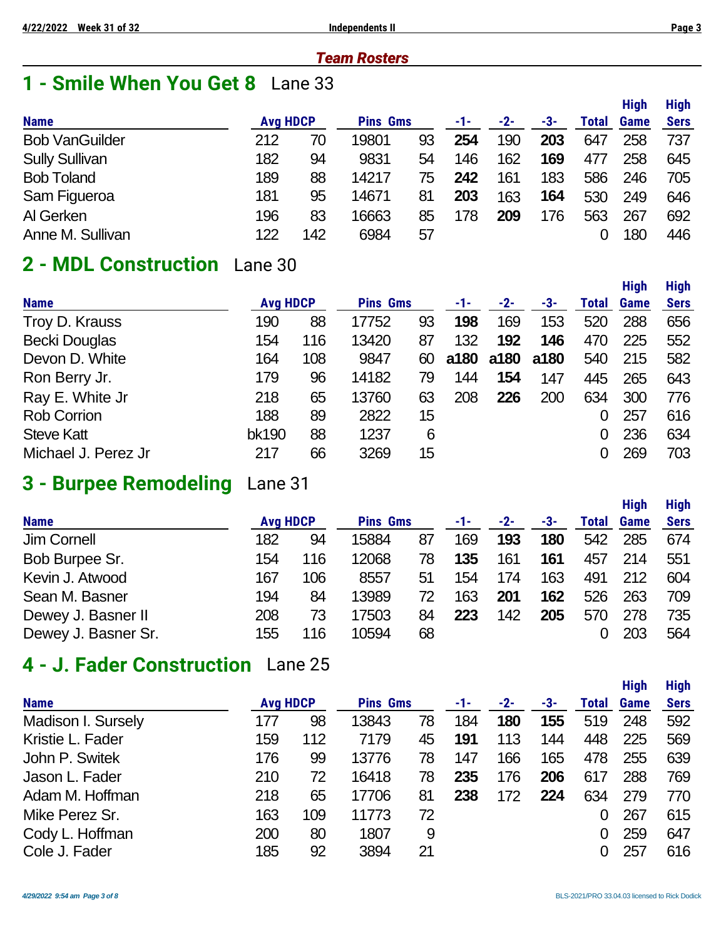#### *Team Rosters*

# **1 - Smile When You Get 8** Lane 33

|                       |                 |     |                 |    |     |       |     |       | <b>High</b> | <b>High</b> |
|-----------------------|-----------------|-----|-----------------|----|-----|-------|-----|-------|-------------|-------------|
| <b>Name</b>           | <b>Avg HDCP</b> |     | <b>Pins Gms</b> |    | -1- | $-2-$ | -3- | Total | Game        | <b>Sers</b> |
| <b>Bob VanGuilder</b> | 212             | 70  | 19801           | 93 | 254 | 190   | 203 | 647   | 258         | 737         |
| <b>Sully Sullivan</b> | 182             | 94  | 9831            | 54 | 146 | 162   | 169 | 477   | 258         | 645         |
| <b>Bob Toland</b>     | 189             | 88  | 14217           | 75 | 242 | 161   | 183 | 586   | 246         | 705         |
| Sam Figueroa          | 181             | 95  | 14671           | 81 | 203 | 163   | 164 | 530   | 249         | 646         |
| Al Gerken             | 196             | 83  | 16663           | 85 | 178 | 209   | 176 | 563   | 267         | 692         |
| Anne M. Sullivan      | 122             | 142 | 6984            | 57 |     |       |     |       | 180         | 446         |

## **2 - MDL Construction** Lane 30

|                      |                 |     |                 |    |      |      |      |       | <b>High</b> | <b>High</b> |
|----------------------|-----------------|-----|-----------------|----|------|------|------|-------|-------------|-------------|
| <b>Name</b>          | <b>Avg HDCP</b> |     | <b>Pins Gms</b> |    | -1-  | -2-  | -3-  | Total | <b>Game</b> | <b>Sers</b> |
| Troy D. Krauss       | 190             | 88  | 17752           | 93 | 198  | 169  | 153  | 520   | 288         | 656         |
| <b>Becki Douglas</b> | 154             | 116 | 13420           | 87 | 132  | 192  | 146  | 470   | 225         | 552         |
| Devon D. White       | 164             | 108 | 9847            | 60 | a180 | a180 | a180 | 540   | 215         | 582         |
| Ron Berry Jr.        | 179             | 96  | 14182           | 79 | 144  | 154  | 147  | 445   | 265         | 643         |
| Ray E. White Jr      | 218             | 65  | 13760           | 63 | 208  | 226  | 200  | 634   | 300         | 776         |
| <b>Rob Corrion</b>   | 188             | 89  | 2822            | 15 |      |      |      | 0     | 257         | 616         |
| <b>Steve Katt</b>    | bk190           | 88  | 1237            | 6  |      |      |      | 0     | 236         | 634         |
| Michael J. Perez Jr  | 217             | 66  | 3269            | 15 |      |      |      |       | 269         | 703         |

## **3 - Burpee Remodeling** Lane 31

|                     |                 |     |                 |    |     |       |     |              | <b>High</b> | <b>High</b> |
|---------------------|-----------------|-----|-----------------|----|-----|-------|-----|--------------|-------------|-------------|
| <b>Name</b>         | <b>Avg HDCP</b> |     | <b>Pins Gms</b> |    | -1- | $-2-$ | -3- | <b>Total</b> | <b>Game</b> | <b>Sers</b> |
| Jim Cornell         | 182             | 94  | 15884           | 87 | 169 | 193   | 180 | 542          | 285         | 674         |
| Bob Burpee Sr.      | 154             | 116 | 12068           | 78 | 135 | 161   | 161 | 457          | 214         | 551         |
| Kevin J. Atwood     | 167             | 106 | 8557            | 51 | 154 | 174   | 163 | 491          | 212         | 604         |
| Sean M. Basner      | 194             | 84  | 13989           | 72 | 163 | 201   | 162 | 526          | 263         | 709         |
| Dewey J. Basner II  | 208             | 73  | 17503           | 84 | 223 | 142   | 205 | 570          | 278         | 735         |
| Dewey J. Basner Sr. | 155             | 116 | 10594           | 68 |     |       |     |              | 203         | 564         |

## **4 - J. Fader Construction** Lane 25

|                    |                 |     |                 |    |     |       |     |       | <b>High</b> | <b>High</b> |
|--------------------|-----------------|-----|-----------------|----|-----|-------|-----|-------|-------------|-------------|
| <b>Name</b>        | <b>Avg HDCP</b> |     | <b>Pins Gms</b> |    | -1- | $-2-$ | -3- | Total | <b>Game</b> | <b>Sers</b> |
| Madison I. Sursely | 177             | 98  | 13843           | 78 | 184 | 180   | 155 | 519   | 248         | 592         |
| Kristie L. Fader   | 159             | 112 | 7179            | 45 | 191 | 113   | 144 | 448   | 225         | 569         |
| John P. Switek     | 176             | 99  | 13776           | 78 | 147 | 166   | 165 | 478   | 255         | 639         |
| Jason L. Fader     | 210             | 72  | 16418           | 78 | 235 | 176   | 206 | 617   | 288         | 769         |
| Adam M. Hoffman    | 218             | 65  | 17706           | 81 | 238 | 172   | 224 | 634   | 279         | 770         |
| Mike Perez Sr.     | 163             | 109 | 11773           | 72 |     |       |     |       | 267         | 615         |
| Cody L. Hoffman    | 200             | 80  | 1807            | 9  |     |       |     | 0     | 259         | 647         |
| Cole J. Fader      | 185             | 92  | 3894            | 21 |     |       |     |       | 257         | 616         |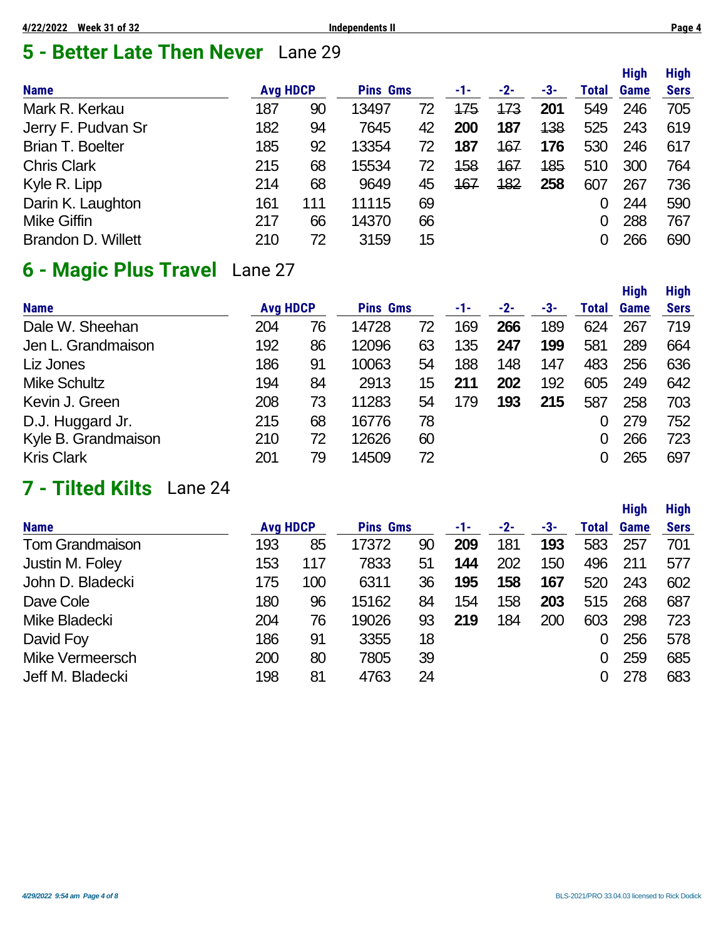# **5 - Better Late Then Never** Lane 29

|                           |                 |     |                 |    |     |       |     |       | <b>High</b> | <b>High</b> |
|---------------------------|-----------------|-----|-----------------|----|-----|-------|-----|-------|-------------|-------------|
| <b>Name</b>               | <b>Avg HDCP</b> |     | <b>Pins Gms</b> |    | -1- | $-2-$ | -3- | Total | Game        | <b>Sers</b> |
| Mark R. Kerkau            | 187             | 90  | 13497           | 72 | 175 | 173   | 201 | 549   | 246         | 705         |
| Jerry F. Pudvan Sr        | 182             | 94  | 7645            | 42 | 200 | 187   | 138 | 525   | 243         | 619         |
| <b>Brian T. Boelter</b>   | 185             | 92  | 13354           | 72 | 187 | 167   | 176 | 530   | 246         | 617         |
| <b>Chris Clark</b>        | 215             | 68  | 15534           | 72 | 158 | 167   | 185 | 510   | 300         | 764         |
| Kyle R. Lipp              | 214             | 68  | 9649            | 45 | 167 | 182   | 258 | 607   | 267         | 736         |
| Darin K. Laughton         | 161             | 111 | 11115           | 69 |     |       |     |       | 244         | 590         |
| <b>Mike Giffin</b>        | 217             | 66  | 14370           | 66 |     |       |     |       | 288         | 767         |
| <b>Brandon D. Willett</b> | 210             | 72  | 3159            | 15 |     |       |     |       | 266         | 690         |

# **6 - Magic Plus Travel** Lane 27

|                     |                 |    |                 |                 |     |     |     |       | <b>High</b> | <b>High</b> |
|---------------------|-----------------|----|-----------------|-----------------|-----|-----|-----|-------|-------------|-------------|
| <b>Name</b>         | <b>Avg HDCP</b> |    | <b>Pins Gms</b> |                 | -1- | -2- | -3- | Total | <b>Game</b> | <b>Sers</b> |
| Dale W. Sheehan     | 204             | 76 | 14728           | 72              | 169 | 266 | 189 | 624   | 267         | 719         |
| Jen L. Grandmaison  | 192             | 86 | 12096           | 63              | 135 | 247 | 199 | 581   | 289         | 664         |
| Liz Jones           | 186             | 91 | 10063           | 54              | 188 | 148 | 147 | 483   | 256         | 636         |
| <b>Mike Schultz</b> | 194             | 84 | 2913            | 15 <sub>2</sub> | 211 | 202 | 192 | 605   | 249         | 642         |
| Kevin J. Green      | 208             | 73 | 11283           | 54              | 179 | 193 | 215 | 587   | 258         | 703         |
| D.J. Huggard Jr.    | 215             | 68 | 16776           | 78              |     |     |     |       | 279         | 752         |
| Kyle B. Grandmaison | 210             | 72 | 12626           | 60              |     |     |     |       | 266         | 723         |
| <b>Kris Clark</b>   | 201             | 79 | 14509           | 72              |     |     |     |       | 265         | 697         |

# **7 - Tilted Kilts** Lane 24

|                        |                 |     |                 |    |     |       |     |              | <b>High</b> | <b>High</b> |
|------------------------|-----------------|-----|-----------------|----|-----|-------|-----|--------------|-------------|-------------|
| <b>Name</b>            | <b>Avg HDCP</b> |     | <b>Pins Gms</b> |    | -1- | $-2-$ | -3- | <b>Total</b> | <b>Game</b> | <b>Sers</b> |
| <b>Tom Grandmaison</b> | 193             | 85  | 17372           | 90 | 209 | 181   | 193 | 583          | 257         | 701         |
| Justin M. Foley        | 153             | 117 | 7833            | 51 | 144 | 202   | 150 | 496          | 211         | 577         |
| John D. Bladecki       | 175             | 100 | 6311            | 36 | 195 | 158   | 167 | 520          | 243         | 602         |
| Dave Cole              | 180             | 96  | 15162           | 84 | 154 | 158   | 203 | 515          | 268         | 687         |
| Mike Bladecki          | 204             | 76  | 19026           | 93 | 219 | 184   | 200 | 603          | 298         | 723         |
| David Foy              | 186             | 91  | 3355            | 18 |     |       |     | 0            | 256         | 578         |
| Mike Vermeersch        | 200             | 80  | 7805            | 39 |     |       |     | 0            | 259         | 685         |
| Jeff M. Bladecki       | 198             | 81  | 4763            | 24 |     |       |     | 0            | 278         | 683         |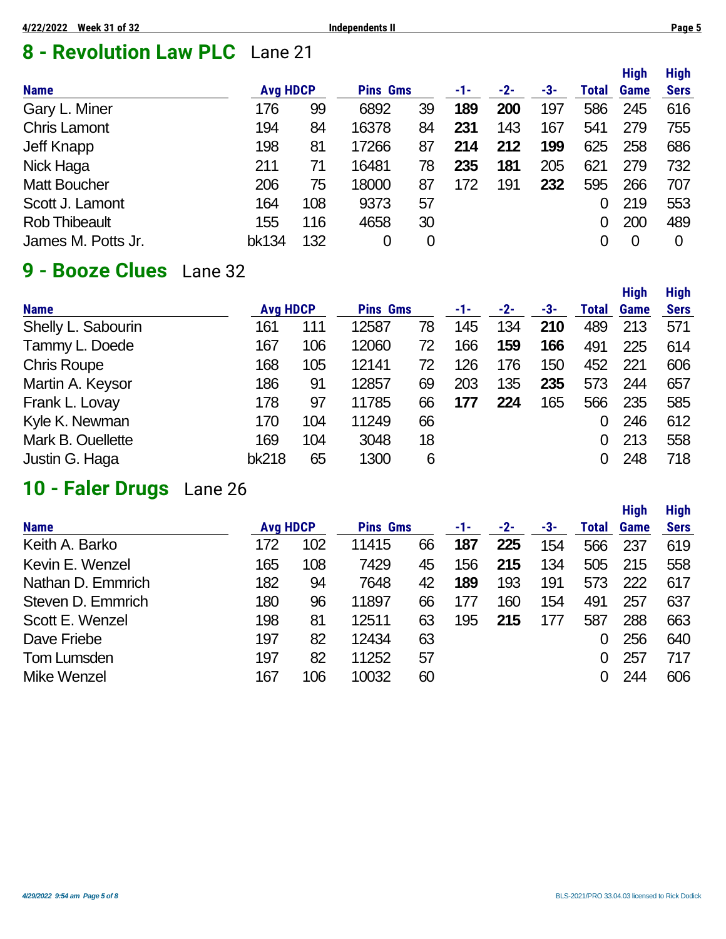# **8 - Revolution Law PLC** Lane 21

|                      |                 |     |                 |    |     |       |     |       | <b>High</b> | <b>High</b> |
|----------------------|-----------------|-----|-----------------|----|-----|-------|-----|-------|-------------|-------------|
| <b>Name</b>          | <b>Avg HDCP</b> |     | <b>Pins Gms</b> |    | -1- | $-2-$ | -3- | Total | Game        | <b>Sers</b> |
| Gary L. Miner        | 176             | 99  | 6892            | 39 | 189 | 200   | 197 | 586   | 245         | 616         |
| <b>Chris Lamont</b>  | 194             | 84  | 16378           | 84 | 231 | 143   | 167 | 541   | 279         | 755         |
| Jeff Knapp           | 198             | 81  | 17266           | 87 | 214 | 212   | 199 | 625   | 258         | 686         |
| Nick Haga            | 211             | 71  | 16481           | 78 | 235 | 181   | 205 | 621   | 279         | 732         |
| <b>Matt Boucher</b>  | 206             | 75  | 18000           | 87 | 172 | 191   | 232 | 595   | 266         | 707         |
| Scott J. Lamont      | 164             | 108 | 9373            | 57 |     |       |     | 0     | 219         | 553         |
| <b>Rob Thibeault</b> | 155             | 116 | 4658            | 30 |     |       |     |       | 200         | 489         |
| James M. Potts Jr.   | bk134           | 132 | 0               | 0  |     |       |     |       | 0           | 0           |

# **9 - Booze Clues** Lane 32

|                    |                 |     |                 |    |     |       |     |       | <b>High</b> | <b>High</b> |
|--------------------|-----------------|-----|-----------------|----|-----|-------|-----|-------|-------------|-------------|
| <b>Name</b>        | <b>Avg HDCP</b> |     | <b>Pins Gms</b> |    | -1- | $-2-$ | -3- | Total | <b>Game</b> | <b>Sers</b> |
| Shelly L. Sabourin | 161             | 111 | 12587           | 78 | 145 | 134   | 210 | 489   | 213         | 571         |
| Tammy L. Doede     | 167             | 106 | 12060           | 72 | 166 | 159   | 166 | 491   | 225         | 614         |
| <b>Chris Roupe</b> | 168             | 105 | 12141           | 72 | 126 | 176   | 150 | 452   | 221         | 606         |
| Martin A. Keysor   | 186             | 91  | 12857           | 69 | 203 | 135   | 235 | 573   | 244         | 657         |
| Frank L. Lovay     | 178             | 97  | 11785           | 66 | 177 | 224   | 165 | 566   | 235         | 585         |
| Kyle K. Newman     | 170             | 104 | 11249           | 66 |     |       |     |       | 246         | 612         |
| Mark B. Ouellette  | 169             | 104 | 3048            | 18 |     |       |     | 0     | 213         | 558         |
| Justin G. Haga     | <b>bk218</b>    | 65  | 1300            | 6  |     |       |     |       | 248         | 718         |

## **10 - Faler Drugs** Lane 26

|                   |                 |     |                 |    |     |       |     |       | <b>High</b> | <b>High</b> |
|-------------------|-----------------|-----|-----------------|----|-----|-------|-----|-------|-------------|-------------|
| <b>Name</b>       | <b>Avg HDCP</b> |     | <b>Pins Gms</b> |    | -1- | $-2-$ | -3- | Total | Game        | <b>Sers</b> |
| Keith A. Barko    | 172             | 102 | 11415           | 66 | 187 | 225   | 154 | 566   | 237         | 619         |
| Kevin E. Wenzel   | 165             | 108 | 7429            | 45 | 156 | 215   | 134 | 505   | 215         | 558         |
| Nathan D. Emmrich | 182             | 94  | 7648            | 42 | 189 | 193   | 191 | 573   | 222         | 617         |
| Steven D. Emmrich | 180             | 96  | 11897           | 66 | 177 | 160   | 154 | 491   | 257         | 637         |
| Scott E. Wenzel   | 198             | 81  | 12511           | 63 | 195 | 215   | 177 | 587   | 288         | 663         |
| Dave Friebe       | 197             | 82  | 12434           | 63 |     |       |     | 0     | 256         | 640         |
| Tom Lumsden       | 197             | 82  | 11252           | 57 |     |       |     | Ω     | 257         | 717         |
| Mike Wenzel       | 167             | 106 | 10032           | 60 |     |       |     | 0     | 244         | 606         |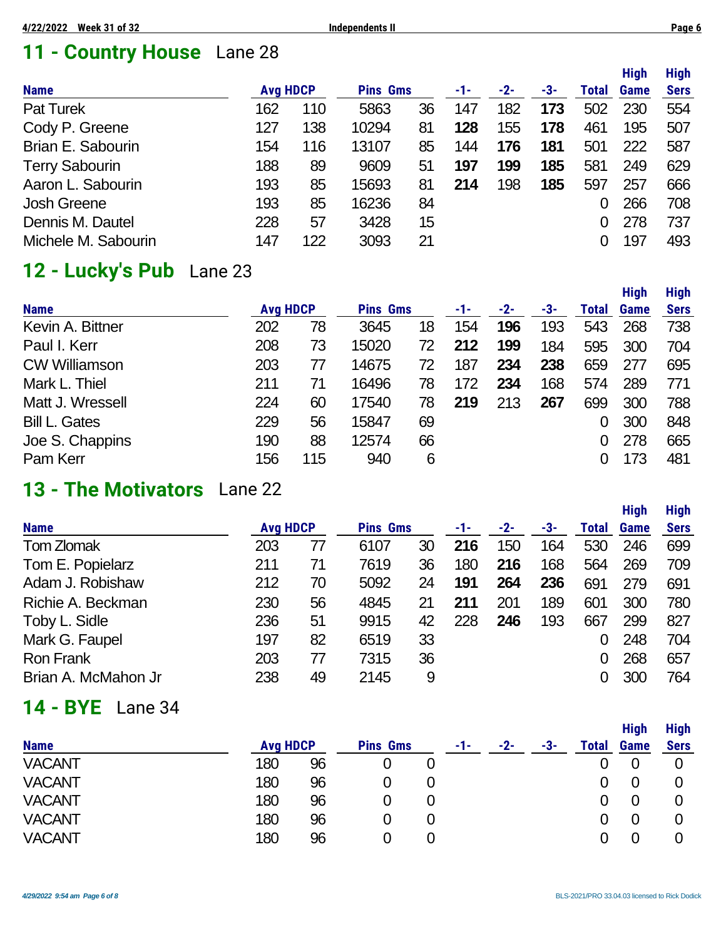# **11 - Country House** Lane 28

|                       |                 |     |                 |        |     |       |     |       | <b>High</b> | <b>High</b> |
|-----------------------|-----------------|-----|-----------------|--------|-----|-------|-----|-------|-------------|-------------|
| <b>Name</b>           | <b>Avg HDCP</b> |     | <b>Pins Gms</b> |        | -1- | $-2-$ | -3- | Total | Game        | <b>Sers</b> |
| <b>Pat Turek</b>      | 162             | 110 | 5863            | 36     | 147 | 182   | 173 | 502   | 230         | 554         |
| Cody P. Greene        | 127             | 138 | 10294           | 81     | 128 | 155   | 178 | 461   | 195         | 507         |
| Brian E. Sabourin     | 154             | 116 | 13107           | 85     | 144 | 176   | 181 | 501   | 222         | 587         |
| <b>Terry Sabourin</b> | 188             | 89  | 9609            | 51     | 197 | 199   | 185 | 581   | 249         | 629         |
| Aaron L. Sabourin     | 193             | 85  | 15693           | 81     | 214 | 198   | 185 | 597   | 257         | 666         |
| <b>Josh Greene</b>    | 193             | 85  | 16236           | 84     |     |       |     |       | 266         | 708         |
| Dennis M. Dautel      | 228             | 57  | 3428            | $15\,$ |     |       |     |       | 278         | 737         |
| Michele M. Sabourin   | 147             | 122 | 3093            | 21     |     |       |     |       | 197         | 493         |

# **12 - Lucky's Pub** Lane 23

|                      |                 |     |                 |    |     |       |     |       | <b>High</b> | <b>High</b> |
|----------------------|-----------------|-----|-----------------|----|-----|-------|-----|-------|-------------|-------------|
| <b>Name</b>          | <b>Avg HDCP</b> |     | <b>Pins Gms</b> |    | -1- | $-2-$ | -3- | Total | Game        | <b>Sers</b> |
| Kevin A. Bittner     | 202             | 78  | 3645            | 18 | 154 | 196   | 193 | 543   | 268         | 738         |
| Paul I. Kerr         | 208             | 73  | 15020           | 72 | 212 | 199   | 184 | 595   | 300         | 704         |
| <b>CW Williamson</b> | 203             | 77  | 14675           | 72 | 187 | 234   | 238 | 659   | 277         | 695         |
| Mark L. Thiel        | 211             | 71  | 16496           | 78 | 172 | 234   | 168 | 574   | 289         | 771         |
| Matt J. Wressell     | 224             | 60  | 17540           | 78 | 219 | 213   | 267 | 699   | 300         | 788         |
| <b>Bill L. Gates</b> | 229             | 56  | 15847           | 69 |     |       |     |       | 300         | 848         |
| Joe S. Chappins      | 190             | 88  | 12574           | 66 |     |       |     |       | 278         | 665         |
| Pam Kerr             | 156             | 115 | 940             | 6  |     |       |     |       | 173         | 481         |

### **13 - The Motivators** Lane 22

|                     |                 |    |                 |    |     |       |     |       | <b>High</b> | <b>High</b> |
|---------------------|-----------------|----|-----------------|----|-----|-------|-----|-------|-------------|-------------|
| <b>Name</b>         | <b>Avg HDCP</b> |    | <b>Pins Gms</b> |    | -1- | $-2-$ | -3- | Total | <b>Game</b> | <b>Sers</b> |
| Tom Zlomak          | 203             | 77 | 6107            | 30 | 216 | 150   | 164 | 530   | 246         | 699         |
| Tom E. Popielarz    | 211             | 71 | 7619            | 36 | 180 | 216   | 168 | 564   | 269         | 709         |
| Adam J. Robishaw    | 212             | 70 | 5092            | 24 | 191 | 264   | 236 | 691   | 279         | 691         |
| Richie A. Beckman   | 230             | 56 | 4845            | 21 | 211 | 201   | 189 | 601   | 300         | 780         |
| Toby L. Sidle       | 236             | 51 | 9915            | 42 | 228 | 246   | 193 | 667   | 299         | 827         |
| Mark G. Faupel      | 197             | 82 | 6519            | 33 |     |       |     |       | 248         | 704         |
| <b>Ron Frank</b>    | 203             | 77 | 7315            | 36 |     |       |     |       | 268         | 657         |
| Brian A. McMahon Jr | 238             | 49 | 2145            | 9  |     |       |     |       | 300         | 764         |

## **14 - BYE** Lane 34

| <b>Name</b>   | <b>Avg HDCP</b> |    | <b>Pins Gms</b> |   | -1- | $-2-$ | -3- | Total | <b>High</b><br><b>Game</b> | <b>High</b><br><b>Sers</b> |
|---------------|-----------------|----|-----------------|---|-----|-------|-----|-------|----------------------------|----------------------------|
| <b>VACANT</b> | 180             | 96 | 0               | 0 |     |       |     |       |                            |                            |
| <b>VACANT</b> | 180             | 96 | O               |   |     |       |     |       | 0                          |                            |
| <b>VACANT</b> | 180             | 96 | 0               | 0 |     |       |     |       | 0                          |                            |
| <b>VACANT</b> | 180             | 96 | 0               | 0 |     |       |     |       | 0                          |                            |
| <b>VACANT</b> | 180             | 96 |                 |   |     |       |     |       |                            |                            |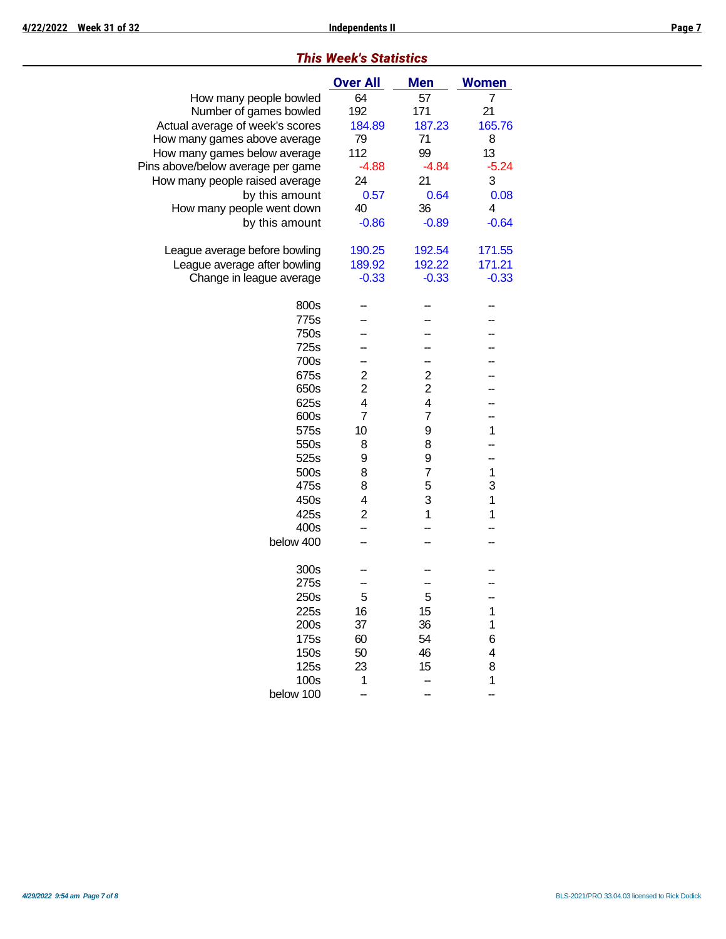|  | <b>This Week's Statistics</b> |
|--|-------------------------------|
|  |                               |

|                                   | <b>Over All</b> | <b>Men</b>          | <b>Women</b>     |
|-----------------------------------|-----------------|---------------------|------------------|
| How many people bowled            | 64              | 57                  | 7                |
| Number of games bowled            | 192             | 171                 | 21               |
| Actual average of week's scores   | 184.89          | 187.23              | 165.76           |
| How many games above average      | 79              | 71                  | 8                |
| How many games below average      | 112             | 99                  | 13               |
| Pins above/below average per game | $-4.88$         | $-4.84$             | $-5.24$          |
| How many people raised average    | 24              | 21                  | 3                |
| by this amount                    | 0.57            | 0.64                | 0.08             |
| How many people went down         | 40              | 36                  | 4                |
| by this amount                    | $-0.86$         | $-0.89$             | $-0.64$          |
| League average before bowling     | 190.25          | 192.54              | 171.55           |
| League average after bowling      | 189.92          | 192.22              | 171.21           |
| Change in league average          | $-0.33$         | $-0.33$             | $-0.33$          |
| 800s                              |                 |                     |                  |
| 775s                              |                 |                     |                  |
| 750s                              |                 |                     |                  |
| 725s                              |                 |                     |                  |
| 700s                              |                 |                     |                  |
| 675s                              | $\overline{c}$  | $\overline{2}$      |                  |
| 650s                              | $\overline{2}$  | $\overline{2}$      |                  |
| 625s                              | 4               | 4                   |                  |
| 600s                              | 7               | 7                   |                  |
| 575s                              | 10              | 9                   | 1                |
| 550s                              | 8               | 8                   |                  |
| 525s                              | 9               | 9                   |                  |
| 500s                              | 8<br>8          | $\overline{7}$<br>5 | $\mathbf 1$<br>3 |
| 475s                              | 4               | 3                   | $\mathbf 1$      |
| 450s<br>425s                      | $\overline{2}$  | 1                   | 1                |
| 400s                              |                 |                     |                  |
| below 400                         |                 |                     |                  |
|                                   |                 |                     |                  |
| 300s                              |                 |                     |                  |
| 275s                              |                 |                     |                  |
| 250s                              | 5               | 5                   |                  |
| 225s                              | 16              | 15                  | 1                |
| 200s                              | 37              | 36                  | 1                |
| 175s                              | 60              | 54                  | 6                |
| 150s                              | 50              | 46                  | 4                |
| 125s                              | 23              | 15                  | 8                |
| 100s                              | 1               |                     | 1                |
| below 100                         |                 |                     |                  |